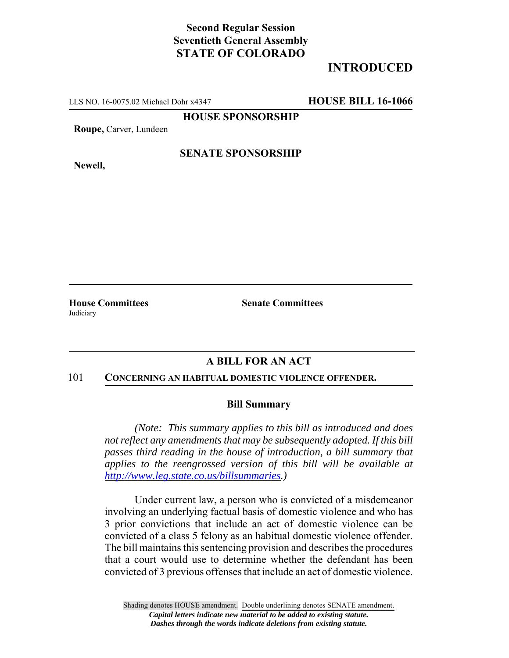# **Second Regular Session Seventieth General Assembly STATE OF COLORADO**

# **INTRODUCED**

LLS NO. 16-0075.02 Michael Dohr x4347 **HOUSE BILL 16-1066**

**HOUSE SPONSORSHIP**

**Roupe,** Carver, Lundeen

**Newell,**

## **SENATE SPONSORSHIP**

**House Committees use Committees Senate Committees ate Committees Judiciary** 

## **A BILL FOR AN ACT**

#### 101 **CONCERNING AN HABITUAL DOMESTIC VIOLENCE OFFENDER.**

#### **Bill Summary**

*(Note: This summary applies to this bill as introduced and does not reflect any amendments that may be subsequently adopted. If this bill passes third reading in the house of introduction, a bill summary that applies to the reengrossed version of this bill will be available at http://www.leg.state.co.us/billsummaries.)*

Under current law, a person who is convicted of a misdemeanor involving an underlying factual basis of domestic violence and who has 3 prior convictions that include an act of domestic violence can be convicted of a class 5 felony as an habitual domestic violence offender. The bill maintains this sentencing provision and describes the procedures that a court would use to determine whether the defendant has been convicted of 3 previous offenses that include an act of domestic violence.

Shading denotes HOUSE amendment. Double underlining denotes SENATE amendment. *Capital letters indicate new material to be added to existing statute. Dashes through the words indicate deletions from existing statute.*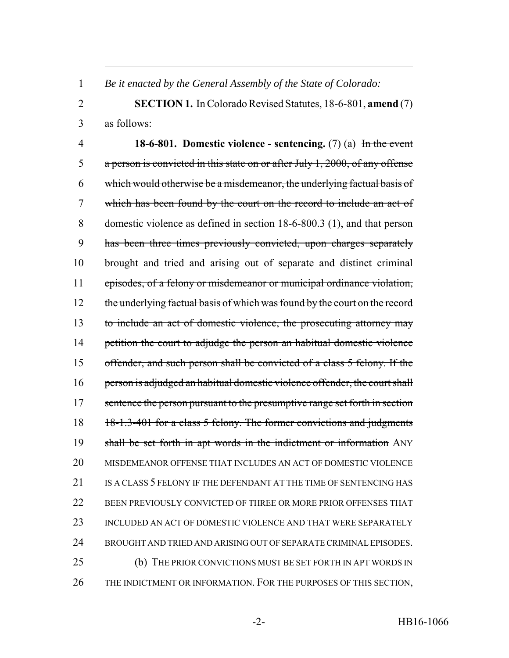*Be it enacted by the General Assembly of the State of Colorado:*

 **SECTION 1.** In Colorado Revised Statutes, 18-6-801, **amend** (7) as follows:

 **18-6-801. Domestic violence - sentencing.** (7) (a) In the event a person is convicted in this state on or after July 1, 2000, of any offense which would otherwise be a misdemeanor, the underlying factual basis of which has been found by the court on the record to include an act of domestic violence as defined in section 18-6-800.3 (1), and that person has been three times previously convicted, upon charges separately brought and tried and arising out of separate and distinct criminal episodes, of a felony or misdemeanor or municipal ordinance violation, 12 the underlying factual basis of which was found by the court on the record to include an act of domestic violence, the prosecuting attorney may 14 petition the court to adjudge the person an habitual domestic violence 15 offender, and such person shall be convicted of a class 5 felony. If the 16 person is adjudged an habitual domestic violence offender, the court shall 17 sentence the person pursuant to the presumptive range set forth in section 18 18-1.3-401 for a class 5 felony. The former convictions and judgments 19 shall be set forth in apt words in the indictment or information ANY MISDEMEANOR OFFENSE THAT INCLUDES AN ACT OF DOMESTIC VIOLENCE IS A CLASS 5 FELONY IF THE DEFENDANT AT THE TIME OF SENTENCING HAS BEEN PREVIOUSLY CONVICTED OF THREE OR MORE PRIOR OFFENSES THAT 23 INCLUDED AN ACT OF DOMESTIC VIOLENCE AND THAT WERE SEPARATELY BROUGHT AND TRIED AND ARISING OUT OF SEPARATE CRIMINAL EPISODES. (b) THE PRIOR CONVICTIONS MUST BE SET FORTH IN APT WORDS IN 26 THE INDICTMENT OR INFORMATION. FOR THE PURPOSES OF THIS SECTION,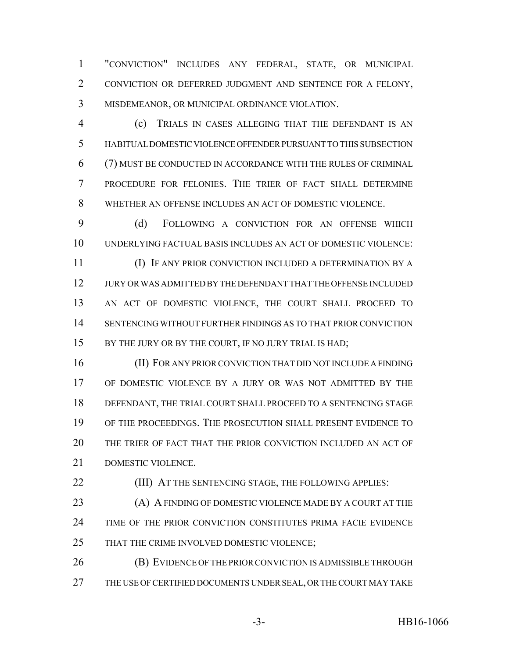"CONVICTION" INCLUDES ANY FEDERAL, STATE, OR MUNICIPAL CONVICTION OR DEFERRED JUDGMENT AND SENTENCE FOR A FELONY, MISDEMEANOR, OR MUNICIPAL ORDINANCE VIOLATION.

 (c) TRIALS IN CASES ALLEGING THAT THE DEFENDANT IS AN HABITUAL DOMESTIC VIOLENCE OFFENDER PURSUANT TO THIS SUBSECTION (7) MUST BE CONDUCTED IN ACCORDANCE WITH THE RULES OF CRIMINAL PROCEDURE FOR FELONIES. THE TRIER OF FACT SHALL DETERMINE WHETHER AN OFFENSE INCLUDES AN ACT OF DOMESTIC VIOLENCE.

 (d) FOLLOWING A CONVICTION FOR AN OFFENSE WHICH UNDERLYING FACTUAL BASIS INCLUDES AN ACT OF DOMESTIC VIOLENCE:

 (I) IF ANY PRIOR CONVICTION INCLUDED A DETERMINATION BY A JURY OR WAS ADMITTED BY THE DEFENDANT THAT THE OFFENSE INCLUDED AN ACT OF DOMESTIC VIOLENCE, THE COURT SHALL PROCEED TO SENTENCING WITHOUT FURTHER FINDINGS AS TO THAT PRIOR CONVICTION 15 BY THE JURY OR BY THE COURT, IF NO JURY TRIAL IS HAD;

 (II) FOR ANY PRIOR CONVICTION THAT DID NOT INCLUDE A FINDING OF DOMESTIC VIOLENCE BY A JURY OR WAS NOT ADMITTED BY THE DEFENDANT, THE TRIAL COURT SHALL PROCEED TO A SENTENCING STAGE OF THE PROCEEDINGS. THE PROSECUTION SHALL PRESENT EVIDENCE TO THE TRIER OF FACT THAT THE PRIOR CONVICTION INCLUDED AN ACT OF DOMESTIC VIOLENCE.

**(III) AT THE SENTENCING STAGE, THE FOLLOWING APPLIES:** 

**(A) A FINDING OF DOMESTIC VIOLENCE MADE BY A COURT AT THE**  TIME OF THE PRIOR CONVICTION CONSTITUTES PRIMA FACIE EVIDENCE 25 THAT THE CRIME INVOLVED DOMESTIC VIOLENCE;

**(B) EVIDENCE OF THE PRIOR CONVICTION IS ADMISSIBLE THROUGH** 27 THE USE OF CERTIFIED DOCUMENTS UNDER SEAL, OR THE COURT MAY TAKE